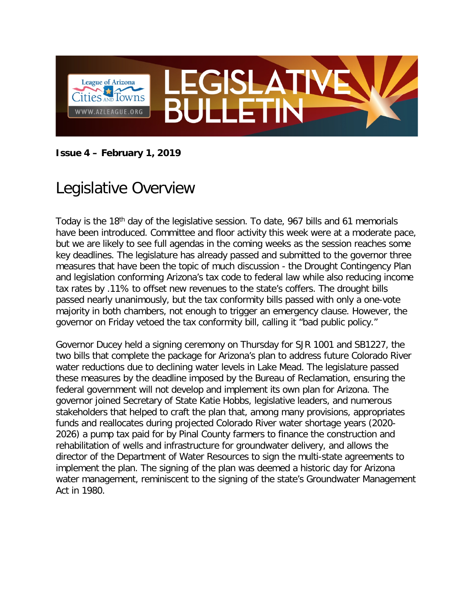

#### **Issue 4 – February 1, 2019**

# Legislative Overview

Today is the 18th day of the legislative session. To date, 967 bills and 61 memorials have been introduced. Committee and floor activity this week were at a moderate pace, but we are likely to see full agendas in the coming weeks as the session reaches some key deadlines. The legislature has already passed and submitted to the governor three measures that have been the topic of much discussion - the Drought Contingency Plan and legislation conforming Arizona's tax code to federal law while also reducing income tax rates by .11% to offset new revenues to the state's coffers. The drought bills passed nearly unanimously, but the tax conformity bills passed with only a one-vote majority in both chambers, not enough to trigger an emergency clause. However, the governor on Friday vetoed the tax conformity bill, calling it "bad public policy."

Governor Ducey held a signing ceremony on Thursday for SJR 1001 and SB1227, the two bills that complete the package for Arizona's plan to address future Colorado River water reductions due to declining water levels in Lake Mead. The legislature passed these measures by the deadline imposed by the Bureau of Reclamation, ensuring the federal government will not develop and implement its own plan for Arizona. The governor joined Secretary of State Katie Hobbs, legislative leaders, and numerous stakeholders that helped to craft the plan that, among many provisions, appropriates funds and reallocates during projected Colorado River water shortage years (2020- 2026) a pump tax paid for by Pinal County farmers to finance the construction and rehabilitation of wells and infrastructure for groundwater delivery, and allows the director of the Department of Water Resources to sign the multi-state agreements to implement the plan. The signing of the plan was deemed a historic day for Arizona water management, reminiscent to the signing of the state's Groundwater Management Act in 1980.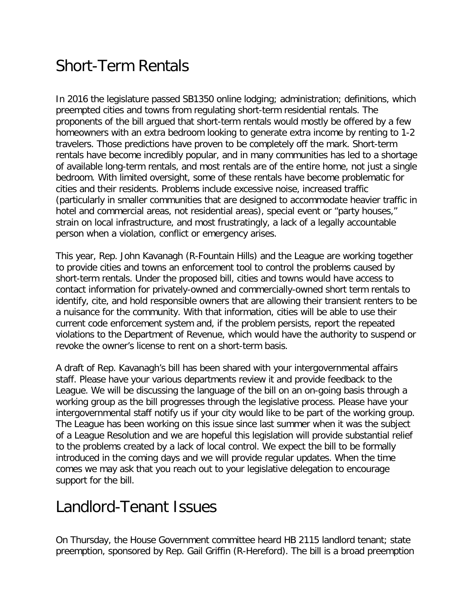# Short-Term Rentals

In 2016 the legislature passed SB1350 online lodging; administration; definitions, which preempted cities and towns from regulating short-term residential rentals. The proponents of the bill argued that short-term rentals would mostly be offered by a few homeowners with an extra bedroom looking to generate extra income by renting to 1-2 travelers. Those predictions have proven to be completely off the mark. Short-term rentals have become incredibly popular, and in many communities has led to a shortage of available long-term rentals, and most rentals are of the entire home, not just a single bedroom. With limited oversight, some of these rentals have become problematic for cities and their residents. Problems include excessive noise, increased traffic (particularly in smaller communities that are designed to accommodate heavier traffic in hotel and commercial areas, not residential areas), special event or "party houses," strain on local infrastructure, and most frustratingly, a lack of a legally accountable person when a violation, conflict or emergency arises.

This year, Rep. John Kavanagh (R-Fountain Hills) and the League are working together to provide cities and towns an enforcement tool to control the problems caused by short-term rentals. Under the proposed bill, cities and towns would have access to contact information for privately-owned and commercially-owned short term rentals to identify, cite, and hold responsible owners that are allowing their transient renters to be a nuisance for the community. With that information, cities will be able to use their current code enforcement system and, if the problem persists, report the repeated violations to the Department of Revenue, which would have the authority to suspend or revoke the owner's license to rent on a short-term basis.

A draft of Rep. Kavanagh's bill has been shared with your intergovernmental affairs staff. Please have your various departments review it and provide feedback to the League. We will be discussing the language of the bill on an on-going basis through a working group as the bill progresses through the legislative process. Please have your intergovernmental staff notify us if your city would like to be part of the working group. The League has been working on this issue since last summer when it was the subject of a League Resolution and we are hopeful this legislation will provide substantial relief to the problems created by a lack of local control. We expect the bill to be formally introduced in the coming days and we will provide regular updates. When the time comes we may ask that you reach out to your legislative delegation to encourage support for the bill.

#### Landlord-Tenant Issues

On Thursday, the House Government committee heard HB 2115 landlord tenant; state preemption, sponsored by Rep. Gail Griffin (R-Hereford). The bill is a broad preemption